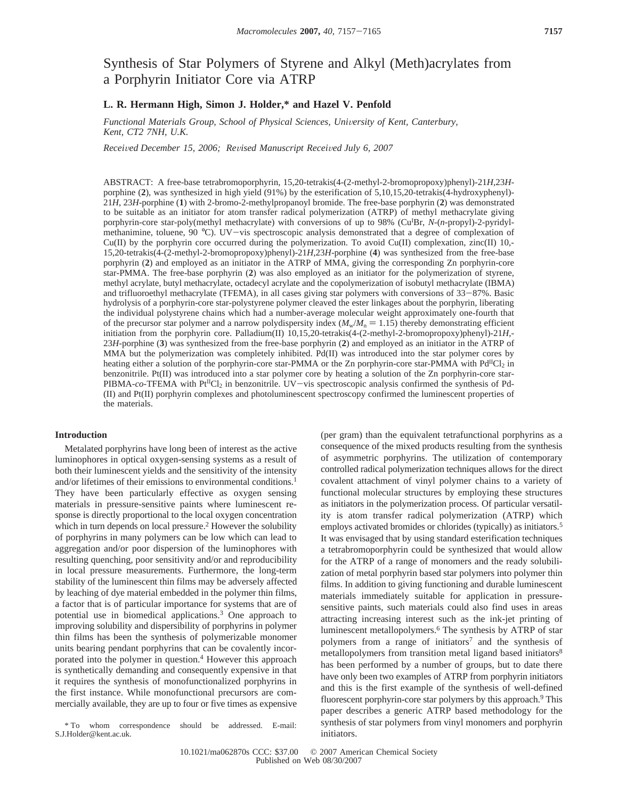# Synthesis of Star Polymers of Styrene and Alkyl (Meth)acrylates from a Porphyrin Initiator Core via ATRP

## **L. R. Hermann High, Simon J. Holder,\* and Hazel V. Penfold**

*Functional Materials Group, School of Physical Sciences, University of Kent, Canterbury, Kent, CT2 7NH, U.K.*

*Recei*V*ed December 15, 2006; Re*V*ised Manuscript Recei*V*ed July 6, 2007*

ABSTRACT: A free-base tetrabromoporphyrin, 15,20-tetrakis(4-(2-methyl-2-bromopropoxy)phenyl)-21*H*,23*H*porphine (**2**), was synthesized in high yield (91%) by the esterification of 5,10,15,20-tetrakis(4-hydroxyphenyl)- 21*H*, 23*H*-porphine (**1**) with 2-bromo-2-methylpropanoyl bromide. The free-base porphyrin (**2**) was demonstrated to be suitable as an initiator for atom transfer radical polymerization (ATRP) of methyl methacrylate giving porphyrin-core star-poly(methyl methacrylate) with conversions of up to 98% (CuI Br, *N*-(*n*-propyl)-2-pyridylmethanimine, toluene, 90 °C). UV-vis spectroscopic analysis demonstrated that a degree of complexation of  $Cu(II)$  by the porphyrin core occurred during the polymerization. To avoid  $Cu(II)$  complexation, zinc(II) 10,-15,20-tetrakis(4-(2-methyl-2-bromopropoxy)phenyl)-21*H*,23*H*-porphine (**4**) was synthesized from the free-base porphyrin (**2**) and employed as an initiator in the ATRP of MMA, giving the corresponding Zn porphyrin-core star-PMMA. The free-base porphyrin (**2**) was also employed as an initiator for the polymerization of styrene, methyl acrylate, butyl methacrylate, octadecyl acrylate and the copolymerization of isobutyl methacrylate (IBMA) and trifluoroethyl methacrylate (TFEMA), in all cases giving star polymers with conversions of 33-87%. Basic hydrolysis of a porphyrin-core star-polystyrene polymer cleaved the ester linkages about the porphyrin, liberating the individual polystyrene chains which had a number-average molecular weight approximately one-fourth that of the precursor star polymer and a narrow polydispersity index  $(M_w/M_n = 1.15)$  thereby demonstrating efficient initiation from the porphyrin core. Palladium(II) 10,15,20-tetrakis(4-(2-methyl-2-bromopropoxy)phenyl)-21*H*,- 23*H*-porphine (**3**) was synthesized from the free-base porphyrin (**2**) and employed as an initiator in the ATRP of MMA but the polymerization was completely inhibited. Pd(II) was introduced into the star polymer cores by heating either a solution of the porphyrin-core star-PMMA or the Zn porphyrin-core star-PMMA with Pd<sup>II</sup>Cl<sub>2</sub> in benzonitrile. Pt(II) was introduced into a star polymer core by heating a solution of the Zn porphyrin-core star-PIBMA-*co*-TFEMA with Pt<sup>II</sup>Cl<sub>2</sub> in benzonitrile. UV-vis spectroscopic analysis confirmed the synthesis of Pd-(II) and Pt(II) porphyrin complexes and photoluminescent spectroscopy confirmed the luminescent properties of the materials.

### **Introduction**

Metalated porphyrins have long been of interest as the active luminophores in optical oxygen-sensing systems as a result of both their luminescent yields and the sensitivity of the intensity and/or lifetimes of their emissions to environmental conditions.<sup>1</sup> They have been particularly effective as oxygen sensing materials in pressure-sensitive paints where luminescent response is directly proportional to the local oxygen concentration which in turn depends on local pressure.<sup>2</sup> However the solubility of porphyrins in many polymers can be low which can lead to aggregation and/or poor dispersion of the luminophores with resulting quenching, poor sensitivity and/or and reproducibility in local pressure measurements. Furthermore, the long-term stability of the luminescent thin films may be adversely affected by leaching of dye material embedded in the polymer thin films, a factor that is of particular importance for systems that are of potential use in biomedical applications.3 One approach to improving solubility and dispersibility of porphyrins in polymer thin films has been the synthesis of polymerizable monomer units bearing pendant porphyrins that can be covalently incorporated into the polymer in question.4 However this approach is synthetically demanding and consequently expensive in that it requires the synthesis of monofunctionalized porphyrins in the first instance. While monofunctional precursors are commercially available, they are up to four or five times as expensive

\* To whom correspondence should be addressed. E-mail: S.J.Holder@kent.ac.uk.

(per gram) than the equivalent tetrafunctional porphyrins as a consequence of the mixed products resulting from the synthesis of asymmetric porphyrins. The utilization of contemporary controlled radical polymerization techniques allows for the direct covalent attachment of vinyl polymer chains to a variety of functional molecular structures by employing these structures as initiators in the polymerization process. Of particular versatility is atom transfer radical polymerization (ATRP) which employs activated bromides or chlorides (typically) as initiators.5 It was envisaged that by using standard esterification techniques a tetrabromoporphyrin could be synthesized that would allow for the ATRP of a range of monomers and the ready solubilization of metal porphyrin based star polymers into polymer thin films. In addition to giving functioning and durable luminescent materials immediately suitable for application in pressuresensitive paints, such materials could also find uses in areas attracting increasing interest such as the ink-jet printing of luminescent metallopolymers.6 The synthesis by ATRP of star polymers from a range of initiators<sup>7</sup> and the synthesis of metallopolymers from transition metal ligand based initiators<sup>8</sup> has been performed by a number of groups, but to date there have only been two examples of ATRP from porphyrin initiators and this is the first example of the synthesis of well-defined fluorescent porphyrin-core star polymers by this approach.<sup>9</sup> This paper describes a generic ATRP based methodology for the synthesis of star polymers from vinyl monomers and porphyrin initiators.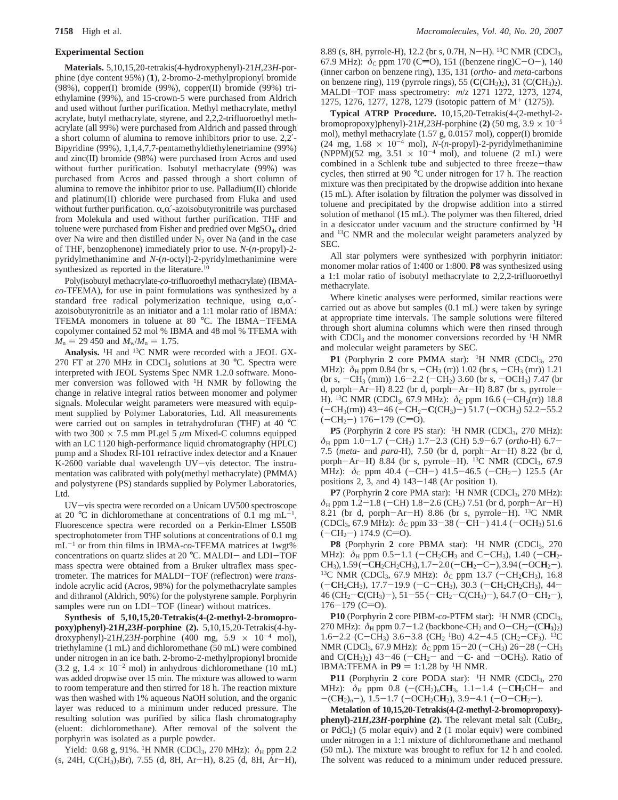#### **Experimental Section**

**Materials.** 5,10,15,20-tetrakis(4-hydroxyphenyl)-21*H*,23*H*-porphine (dye content 95%) (**1**), 2-bromo-2-methylpropionyl bromide (98%), copper(I) bromide (99%), copper(II) bromide (99%) triethylamine (99%), and 15-crown-5 were purchased from Aldrich and used without further purification. Methyl methacrylate, methyl acrylate, butyl methacrylate, styrene, and 2,2,2-trifluoroethyl methacrylate (all 99%) were purchased from Aldrich and passed through a short column of alumina to remove inhibitors prior to use. 2,2′- Bipyridine (99%), 1,1,4,7,7-pentamethyldiethylenetriamine (99%) and zinc(II) bromide (98%) were purchased from Acros and used without further purification. Isobutyl methacrylate (99%) was purchased from Acros and passed through a short column of alumina to remove the inhibitor prior to use. Palladium(II) chloride and platinum(II) chloride were purchased from Fluka and used without further purification.  $\alpha, \alpha'$ -azoisobutyronitrile was purchased from Molekula and used without further purification. THF and toluene were purchased from Fisher and predried over MgSO4, dried over Na wire and then distilled under  $N_2$  over Na (and in the case of THF, benzophenone) immediately prior to use. *N*-(*n*-propyl)-2 pyridylmethanimine and *N*-(*n*-octyl)-2-pyridylmethanimine were synthesized as reported in the literature.<sup>10</sup>

Poly(isobutyl methacrylate-*co*-trifluoroethyl methacrylate) (IBMA*co*-TFEMA), for use in paint formulations was synthesized by a standard free radical polymerization technique, using  $\alpha, \alpha'$ azoisobutyronitrile as an initiator and a 1:1 molar ratio of IBMA: TFEMA monomers in toluene at 80 °C. The IBMA-TFEMA copolymer contained 52 mol % IBMA and 48 mol % TFEMA with  $M_n = 29\,450$  and  $M_w/M_n = 1.75$ .

**Analysis.** 1H and 13C NMR were recorded with a JEOL GX-270 FT at 270 MHz in CDCl<sub>3</sub> solutions at 30 °C. Spectra were interpreted with JEOL Systems Spec NMR 1.2.0 software. Monomer conversion was followed with 1H NMR by following the change in relative integral ratios between monomer and polymer signals. Molecular weight parameters were measured with equipment supplied by Polymer Laboratories, Ltd. All measurements were carried out on samples in tetrahydrofuran (THF) at 40 °C with two 300  $\times$  7.5 mm PLgel 5  $\mu$ m Mixed-C columns equipped with an LC 1120 high-performance liquid chromatography (HPLC) pump and a Shodex RI-101 refractive index detector and a Knauer K-2600 variable dual wavelength UV-vis detector. The instrumentation was calibrated with poly(methyl methacrylate) (PMMA) and polystyrene (PS) standards supplied by Polymer Laboratories, Ltd.

UV-vis spectra were recorded on a Unicam UV500 spectroscope at 20 °C in dichloromethane at concentrations of 0.1 mg  $mL^{-1}$ . Fluorescence spectra were recorded on a Perkin-Elmer LS50B spectrophotometer from THF solutions at concentrations of 0.1 mg mL-<sup>1</sup> or from thin films in IBMA-*co*-TFEMA matrices at 1wgt% concentrations on quartz slides at 20 °C. MALDI- and LDI-TOF mass spectra were obtained from a Bruker ultraflex mass spectrometer. The matrices for MALDI-TOF (reflectron) were *trans*indole acrylic acid (Acros, 98%) for the polymethacrylate samples and dithranol (Aldrich, 90%) for the polystyrene sample. Porphyrin samples were run on LDI-TOF (linear) without matrices.

**Synthesis of 5,10,15,20-Tetrakis(4-(2-methyl-2-bromopropoxy)phenyl)-21***H***,23***H***-porphine (2).** 5,10,15,20-Tetrakis(4-hydroxyphenyl)-21*H*,23*H*-porphine (400 mg,  $5.9 \times 10^{-4}$  mol), triethylamine (1 mL) and dichloromethane (50 mL) were combined under nitrogen in an ice bath. 2-bromo-2-methylpropionyl bromide  $(3.2 \text{ g}, 1.4 \times 10^{-2} \text{ mol})$  in anhydrous dichloromethane  $(10 \text{ mL})$ was added dropwise over 15 min. The mixture was allowed to warm to room temperature and then stirred for 18 h. The reaction mixture was then washed with 1% aqueous NaOH solution, and the organic layer was reduced to a minimum under reduced pressure. The resulting solution was purified by silica flash chromatography (eluent: dichloromethane). After removal of the solvent the porphyrin was isolated as a purple powder.

Yield: 0.68 g, 91%. <sup>1</sup>H NMR (CDCl<sub>3</sub>, 270 MHz):  $δ$ <sub>H</sub> ppm 2.2 (s, 24H, C(CH3)2Br), 7.55 (d, 8H, Ar-H), 8.25 (d, 8H, Ar-H), 8.89 (s, 8H, pyrrole-H), 12.2 (br s, 0.7H, N-H). 13C NMR (CDCl3, 67.9 MHz):  $\delta$ <sub>C</sub> ppm 170 (C=O), 151 ((benzene ring)C-O-), 140 (inner carbon on benzene ring), 135, 131 (*ortho*- and *meta*-carbons on benzene ring), 119 (pyrrole rings), 55 (**C**(CH3)2), 31 (C(**C**H3)2). MALDI-TOF mass spectrometry: *<sup>m</sup>*/*<sup>z</sup>* 1271 1272, 1273, 1274, 1275, 1276, 1277, 1278, 1279 (isotopic pattern of M<sup>+</sup> (1275)).

**Typical ATRP Procedure.** 10,15,20-Tetrakis(4-(2-methyl-2 bromopropoxy)phenyl)-21*H*,23*H*-porphine (2) (50 mg,  $3.9 \times 10^{-5}$ mol), methyl methacrylate (1.57 g, 0.0157 mol), copper(I) bromide (24 mg,  $1.68 \times 10^{-4}$  mol), *N*-(*n*-propyl)-2-pyridylmethanimine (NPPM)(52 mg,  $3.51 \times 10^{-4}$  mol), and toluene (2 mL) were combined in a Schlenk tube and subjected to three freeze-thaw cycles, then stirred at 90 °C under nitrogen for 17 h. The reaction mixture was then precipitated by the dropwise addition into hexane (15 mL). After isolation by filtration the polymer was dissolved in toluene and precipitated by the dropwise addition into a stirred solution of methanol (15 mL). The polymer was then filtered, dried in a desiccator under vacuum and the structure confirmed by  ${}^{1}$ H and 13C NMR and the molecular weight parameters analyzed by SEC.

All star polymers were synthesized with porphyrin initiator: monomer molar ratios of 1:400 or 1:800. **P8** was synthesized using a 1:1 molar ratio of isobutyl methacrylate to 2,2,2-trifluoroethyl methacrylate.

Where kinetic analyses were performed, similar reactions were carried out as above but samples (0.1 mL) were taken by syringe at appropriate time intervals. The sample solutions were filtered through short alumina columns which were then rinsed through with CDCl<sub>3</sub> and the monomer conversions recorded by  ${}^{1}$ H NMR and molecular weight parameters by SEC.

**P1** (Porphyrin 2 core PMMA star): <sup>1</sup>H NMR (CDCl<sub>3</sub>, 270) MHz):  $\delta_H$  ppm 0.84 (br s,  $-CH_3$  (rr)) 1.02 (br s,  $-CH_3$  (mr)) 1.21 (br s,  $-CH_3$  (mm)) 1.6–2.2 ( $-CH_2$ ) 3.60 (br s,  $-OCH_3$ ) 7.47 (br d, porph $-Ar-H$ ) 8.22 (br d, porph $-Ar-H$ ) 8.87 (br s, pyrrole-H). <sup>13</sup>C NMR (CDCl<sub>3</sub>, 67.9 MHz):  $\delta$ <sub>C</sub> ppm 16.6 (-CH<sub>3</sub>(rr)) 18.8  $(-CH<sub>3</sub>(rm))$  43-46  $(-CH<sub>2</sub>-C(CH<sub>3</sub>)-)$  51.7  $(-OCH<sub>3</sub>)$  52.2-55.2  $(-CH<sub>2</sub>-)$  176-179 (C=O).

**P5** (Porphyrin 2 core PS star): <sup>1</sup>H NMR (CDCl<sub>3</sub>, 270 MHz): *<sup>δ</sup>*<sup>H</sup> ppm 1.0-1.7 (-CH2) 1.7-2.3 (CH) 5.9-6.7 (*ortho*-H) 6.7- 7.5 (*meta*- and *para*-H), 7.50 (br d, porph-Ar-H) 8.22 (br d, porph-Ar-H) 8.84 (br s, pyrrole-H). <sup>13</sup>C NMR (CDCl<sub>3</sub>, 67.9 MHz):  $\delta$ <sub>C</sub> ppm 40.4 (-CH-) 41.5-46.5 (-CH<sub>2</sub>-) 125.5 (Ar positions 2, 3, and 4) 143-148 (Ar position 1).

**P7** (Porphyrin 2 core PMA star): <sup>1</sup>H NMR (CDCl<sub>3</sub>, 270 MHz):  $\delta$ <sub>H</sub> ppm 1.2-1.8 (-CH) 1.8-2.6 (CH<sub>2</sub>) 7.51 (br d, porph-Ar-H) 8.21 (br d, porph-Ar-H) 8.86 (br s, pyrrole-H). 13C NMR (CDCl<sub>3</sub>, 67.9 MHz):  $\delta$ <sub>C</sub> ppm 33-38 (-CH-) 41.4 (-OCH<sub>3</sub>) 51.6  $(-CH<sub>2</sub>-)$  174.9 (C=O).

**P8** (Porphyrin **2** core PBMA star): 1H NMR (CDCl3, 270 MHz):  $\delta_H$  ppm 0.5-1.1 (-CH<sub>2</sub>CH<sub>3</sub> and C-CH<sub>3</sub>), 1.40 (-CH<sub>2</sub>-CH<sub>3</sub>), 1.59 (-CH<sub>2</sub>CH<sub>2</sub>CH<sub>3</sub>), 1.7-2.0 (-CH<sub>2</sub>-C-), 3.94 (-OCH<sub>2</sub>-). <sup>13</sup>C NMR (CDCl<sub>3</sub>, 67.9 MHz):  $\delta$ <sub>C</sub> ppm 13.7 (-CH<sub>2</sub>CH<sub>3</sub>), 16.8 (-**C**H2CH3), 17.7-19.9 (-C-**C**H3), 30.3 (-**C**H2CH2CH3), 44- 46 (CH2-**C**(CH3)-), 51-55 (-**C**H2-C(CH3)-), 64.7 (O-**C**H2-),  $176-179$  (C=O).

P10 (Porphyrin 2 core PIBM-*co*-PTFM star): <sup>1</sup>H NMR (CDCl<sub>3</sub>, 270 MHz):  $\delta$ <sub>H</sub> ppm 0.7-1.2 (backbone-CH<sub>2</sub> and O-CH<sub>2</sub>-(C**H**<sub>3</sub>)<sub>2</sub>) 1.6–2.2 (C–CH<sub>3</sub>) 3.6–3.8 (CH<sub>2</sub> <sup>I</sup>Bu) 4.2–4.5 (CH<sub>2</sub>–CF<sub>3</sub>). <sup>13</sup>C<br>NMR (CDCl<sub>2</sub> 67.9 MHz):  $\delta_{\text{C}}$  ppm 15–20 (–CH<sub>2</sub>) 26–28 (–CH<sub>2</sub> NMR (CDCl<sub>3</sub>, 67.9 MHz):  $\delta$ <sub>C</sub> ppm 15-20 (-CH<sub>3</sub>) 26-28 (-CH<sub>3</sub> and  $C(CH_3)_2$  43-46 ( $-CH_2$ - and  $-C$ - and  $-OCH_3$ ). Ratio of **IBMA:TFEMA in**  $P9 = 1:1.28$  **by <sup>1</sup>H NMR.** 

P11 (Porphyrin 2 core PODA star): <sup>1</sup>H NMR (CDCl<sub>3</sub>, 270 MHz):  $\delta_H$  ppm 0.8 (-(CH<sub>2</sub>)<sub>n</sub>CH<sub>3</sub>, 1.1-1.4 (-CH<sub>2</sub>CH- and  $-(CH<sub>2</sub>)<sub>n</sub>$ , 1.5-1.7 ( $-OCH<sub>2</sub>CH<sub>2</sub>$ ), 3.9-4.1 ( $-O-CH<sub>2</sub>$ ).

**Metalation of 10,15,20-Tetrakis(4-(2-methyl-2-bromopropoxy) phenyl)-21***H***,23***H***-porphine (2). The relevant metal salt (CuBr<sub>2</sub>,** or  $PdCl<sub>2</sub>$ ) (5 molar equiv) and **2** (1 molar equiv) were combined under nitrogen in a 1:1 mixture of dichloromethane and methanol (50 mL). The mixture was brought to reflux for 12 h and cooled. The solvent was reduced to a minimum under reduced pressure.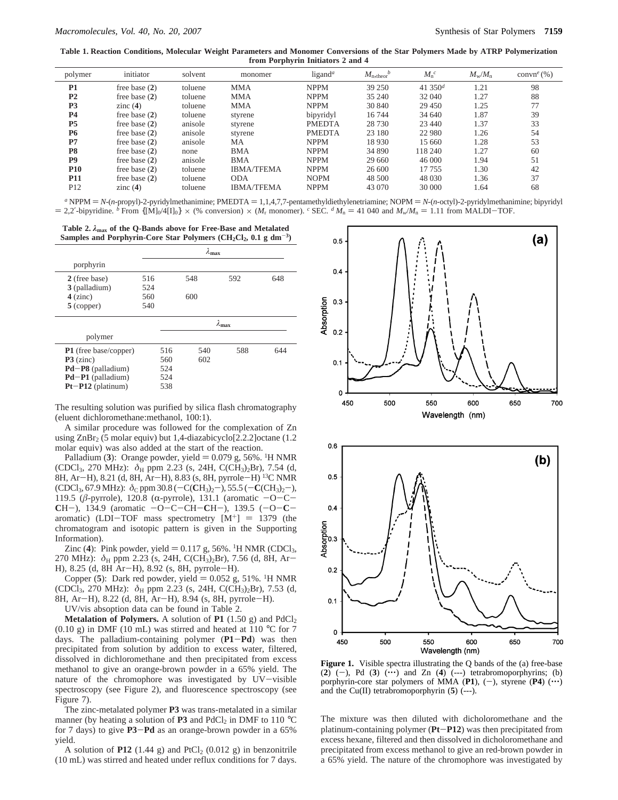**Table 1. Reaction Conditions, Molecular Weight Parameters and Monomer Conversions of the Star Polymers Made by ATRP Polymerization from Porphyrin Initiators 2 and 4**

| polymer         | initiator       | solvent | monomer           | ligand <sup>a</sup> | $M_{\rm n, theor}^{b}$ | $M_n^c$    | $M_{\mathrm{w}}/M_{\mathrm{n}}$ | convn <sup>e</sup> $(\% )$ |
|-----------------|-----------------|---------|-------------------|---------------------|------------------------|------------|---------------------------------|----------------------------|
| P <sub>1</sub>  | free base $(2)$ | toluene | <b>MMA</b>        | <b>NPPM</b>         | 39 250                 | 41 350 $d$ | 1.21                            | 98                         |
| P <sub>2</sub>  | free base $(2)$ | toluene | <b>MMA</b>        | <b>NPPM</b>         | 35 240                 | 32 040     | 1.27                            | 88                         |
| P <sub>3</sub>  | zinc $(4)$      | toluene | <b>MMA</b>        | <b>NPPM</b>         | 30 840                 | 29 450     | 1.25                            | 77                         |
| <b>P4</b>       | free base $(2)$ | toluene | styrene           | bipyridyl           | 16 744                 | 34 640     | 1.87                            | 39                         |
| P <sub>5</sub>  | free base $(2)$ | anisole | styrene           | <b>PMEDTA</b>       | 28 730                 | 23 440     | 1.37                            | 33                         |
| <b>P6</b>       | free base $(2)$ | anisole | styrene           | <b>PMEDTA</b>       | 23 180                 | 22 980     | 1.26                            | 54                         |
| P7              | free base $(2)$ | anisole | МA                | <b>NPPM</b>         | 18 9 30                | 15 660     | 1.28                            | 53                         |
| P <sub>8</sub>  | free base $(2)$ | none    | <b>BMA</b>        | <b>NPPM</b>         | 34 890                 | 118 240    | 1.27                            | 60                         |
| P9              | free base $(2)$ | anisole | <b>BMA</b>        | <b>NPPM</b>         | 29 660                 | 46 000     | 1.94                            | 51                         |
| <b>P10</b>      | free base $(2)$ | toluene | <b>IBMA/TFEMA</b> | <b>NPPM</b>         | 26 600                 | 17 755     | 1.30                            | 42                         |
| <b>P11</b>      | free base $(2)$ | toluene | <b>ODA</b>        | <b>NOPM</b>         | 48 500                 | 48 030     | 1.36                            | 37                         |
| P <sub>12</sub> | zinc $(4)$      | toluene | <b>IBMA/TFEMA</b> | <b>NPPM</b>         | 43 070                 | 30 000     | 1.64                            | 68                         |

 $a$  NPPM  $= N-(n$ -propyl)-2-pyridylmethanimine; PMEDTA  $= 1, 1, 4, 7, 7$ -pentamethyldiethylenetriamine; NOPM  $= N-(n$ -octyl)-2-pyridylmethanimine; bipyridyl  $= 2.2'$ -bipyridine. *b* From  $\{[M]_0/4[I]_0\} \times$  (% conversion)  $\times$  (*M<sub>r</sub>* monomer). *c* SEC. *d*  $M_n = 41\,040$  and  $M_w/M_n = 1.11$  from MALDI-TOF.

**Table 2.** *λ***max of the Q-Bands above for Free-Base and Metalated** Samples and Porphyrin-Core Star Polymers (CH<sub>2</sub>Cl<sub>2</sub>, 0.1 g dm<sup>-3</sup>)

|                              | $\lambda_{\max}$ |                  |     |     |     |  |  |
|------------------------------|------------------|------------------|-----|-----|-----|--|--|
| porphyrin                    |                  |                  |     |     |     |  |  |
| 2 (free base)                | 516              |                  | 548 | 592 | 648 |  |  |
| 3 (palladium)                | 524              |                  |     |     |     |  |  |
| $4$ (zinc)                   | 560              |                  | 600 |     |     |  |  |
| $5$ (copper)                 | 540              |                  |     |     |     |  |  |
|                              |                  | $\lambda_{\max}$ |     |     |     |  |  |
| polymer                      |                  |                  |     |     |     |  |  |
| <b>P1</b> (free base/copper) |                  | 516              | 540 | 588 | 644 |  |  |
| $P3$ (zinc)                  |                  | 560              | 602 |     |     |  |  |
| $Pd-P8$ (palladium)          |                  | 524              |     |     |     |  |  |
| Pd-P1 (palladium)            |                  | 524              |     |     |     |  |  |
| $Pt-P12$ (platinum)          |                  | 538              |     |     |     |  |  |

The resulting solution was purified by silica flash chromatography (eluent dichloromethane:methanol, 100:1).

A similar procedure was followed for the complexation of Zn using  $\text{ZnBr}_2$  (5 molar equiv) but 1,4-diazabicyclo[2.2.2] octane (1.2 molar equiv) was also added at the start of the reaction.

Palladium (3): Orange powder, yield  $= 0.079$  g, 56%. <sup>1</sup>H NMR (CDCl<sub>3</sub>, 270 MHz):  $\delta_H$  ppm 2.23 (s, 24H, C(CH<sub>3</sub>)<sub>2</sub>Br), 7.54 (d, 8H, Ar-H), 8.21 (d, 8H, Ar-H), 8.83 (s, 8H, pyrrole-H) 13C NMR (CDCl<sub>3</sub>, 67.9 MHz):  $\delta$ <sub>C</sub> ppm 30.8 (−C(CH<sub>3</sub>)<sub>2</sub>−), 55.5 (−C(CH<sub>3</sub>)<sub>2</sub>−), 119.5 (β-pyrrole), 120.8 (α-pyrrole), 131.1 (aromatic  $-O-C-$ **<sup>C</sup>**H-), 134.9 (aromatic -O-C-CH-**C**H-), 139.5 (-O-**C**aromatic) (LDI-TOF mass spectrometry  $[M^+]$  = 1379 (the chromatogram and isotopic pattern is given in the Supporting Information).

Zinc (4): Pink powder, yield  $= 0.117$  g, 56%. <sup>1</sup>H NMR (CDCl<sub>3</sub>, 270 MHz):  $\delta_H$  ppm 2.23 (s, 24H, C(CH<sub>3</sub>)<sub>2</sub>Br), 7.56 (d, 8H, Ar-H), 8.25 (d, 8H Ar-H), 8.92 (s, 8H, pyrrole-H).

Copper  $(5)$ : Dark red powder, yield  $= 0.052$  g, 51%. <sup>1</sup>H NMR (CDCl<sub>3</sub>, 270 MHz):  $\delta$ <sub>H</sub> ppm 2.23 (s, 24H, C(CH<sub>3</sub>)<sub>2</sub>Br), 7.53 (d, 8H, Ar-H), 8.22 (d, 8H, Ar-H), 8.94 (s, 8H, pyrrole-H).

UV/vis absoption data can be found in Table 2.

**Metalation of Polymers.** A solution of **P1** (1.50 g) and  $PdCl<sub>2</sub>$  $(0.10 \text{ g})$  in DMF (10 mL) was stirred and heated at 110 °C for 7 days. The palladium-containing polymer (**P1**-**Pd**) was then precipitated from solution by addition to excess water, filtered, dissolved in dichloromethane and then precipitated from excess methanol to give an orange-brown powder in a 65% yield. The nature of the chromophore was investigated by UV-visible spectroscopy (see Figure 2), and fluorescence spectroscopy (see Figure 7).

The zinc-metalated polymer **P3** was trans-metalated in a similar manner (by heating a solution of **P3** and PdCl<sub>2</sub> in DMF to 110  $^{\circ}$ C for 7 days) to give **P3**-**Pd** as an orange-brown powder in a 65% yield.

A solution of  $P12$  (1.44 g) and  $PtCl_2$  (0.012 g) in benzonitrile (10 mL) was stirred and heated under reflux conditions for 7 days.





**Figure 1.** Visible spectra illustrating the Q bands of the (a) free-base (2)  $(-)$ , Pd (3)  $(\cdots)$  and Zn (4)  $(--)$  tetrabromoporphyrins; (b) porphyrin-core star polymers of MMA  $(PI)$ ,  $(-)$ , styrene  $( P4)$   $( \cdots )$ and the Cu(II) tetrabromoporphyrin (**5**) (---).

The mixture was then diluted with dicholoromethane and the platinum-containing polymer (**Pt**-**P12**) was then precipitated from excess hexane, filtered and then dissolved in dicholoromethane and precipitated from excess methanol to give an red-brown powder in a 65% yield. The nature of the chromophore was investigated by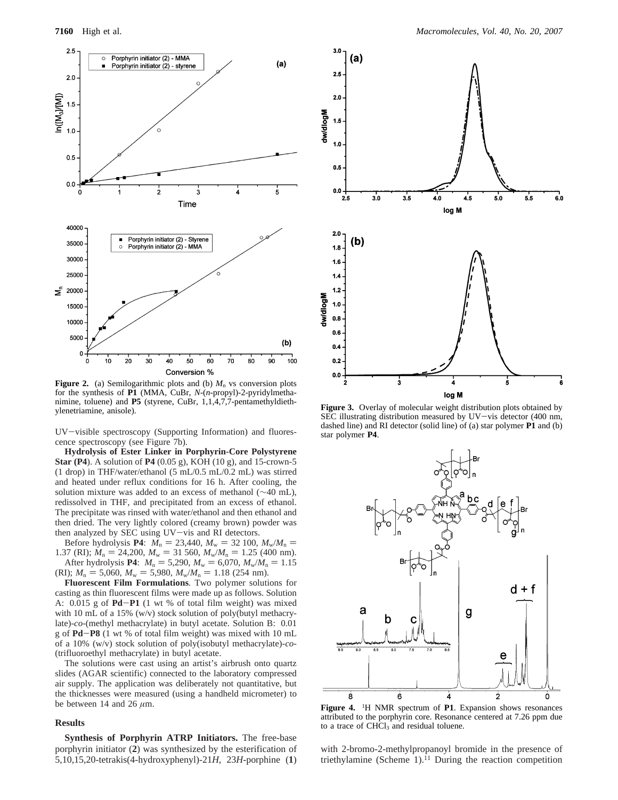

**Figure 2.** (a) Semilogarithmic plots and (b)  $M_n$  vs conversion plots for the synthesis of **P1** (MMA, CuBr, *N*-(*n*-propyl)-2-pyridylmethanimine, toluene) and **P5** (styrene, CuBr, 1,1,4,7,7-pentamethyldieth-<br>ylenetriamine, anisole).

UV-visible spectroscopy (Supporting Information) and fluorescence spectroscopy (see Figure 7b).

**Hydrolysis of Ester Linker in Porphyrin-Core Polystyrene Star (P4**). A solution of **P4** (0.05 g), KOH (10 g), and 15-crown-5 (1 drop) in THF/water/ethanol (5 mL/0.5 mL/0.2 mL) was stirred and heated under reflux conditions for 16 h. After cooling, the solution mixture was added to an excess of methanol (∼40 mL), redissolved in THF, and precipitated from an excess of ethanol. The precipitate was rinsed with water/ethanol and then ethanol and then dried. The very lightly colored (creamy brown) powder was then analyzed by SEC using UV-vis and RI detectors.

Before hydrolysis **P4**:  $M_n = 23,440$ ,  $M_w = 32,100$ ,  $M_w/M_n =$ 1.37 (RI);  $M_n = 24,200$ ,  $M_w = 31,560$ ,  $M_w/M_n = 1.25$  (400 nm). After hydrolysis **P4**:  $M_n = 5{,}290$ ,  $M_w = 6{,}070$ ,  $M_w/M_n = 1.15$ 

(RI);  $M_n = 5{,}060$ ,  $M_w = 5{,}980$ ,  $M_w/M_n = 1.18$  (254 nm).

**Fluorescent Film Formulations**. Two polymer solutions for casting as thin fluorescent films were made up as follows. Solution A: 0.015 g of **Pd**-**P1** (1 wt % of total film weight) was mixed with 10 mL of a 15% (w/v) stock solution of poly(butyl methacrylate)-*co*-(methyl methacrylate) in butyl acetate. Solution B: 0.01 g of **Pd**-**P8** (1 wt % of total film weight) was mixed with 10 mL of a 10% (w/v) stock solution of poly(isobutyl methacrylate)-*co*- (trifluoroethyl methacrylate) in butyl acetate.

The solutions were cast using an artist's airbrush onto quartz slides (AGAR scientific) connected to the laboratory compressed air supply. The application was deliberately not quantitative, but the thicknesses were measured (using a handheld micrometer) to be between 14 and 26  $\mu$ m.

#### **Results**

**Synthesis of Porphyrin ATRP Initiators.** The free-base porphyrin initiator (**2**) was synthesized by the esterification of 5,10,15,20-tetrakis(4-hydroxyphenyl)-21*H*, 23*H*-porphine (**1**)



Figure 3. Overlay of molecular weight distribution plots obtained by SEC illustrating distribution measured by UV-vis detector (400 nm, dashed line) and RI detector (solid line) of (a) star polymer **P1** and (b) star polymer **P4**.



**Figure 4.** <sup>1</sup> H NMR spectrum of **P1**. Expansion shows resonances attributed to the porphyrin core. Resonance centered at 7.26 ppm due to a trace of CHCl<sub>3</sub> and residual toluene.

with 2-bromo-2-methylpropanoyl bromide in the presence of triethylamine (Scheme 1).<sup>11</sup> During the reaction competition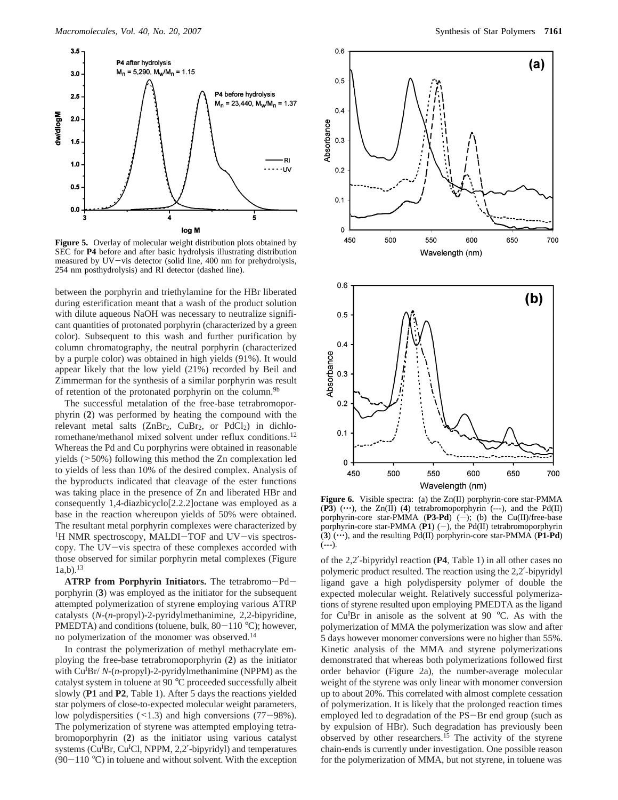

**Figure 5.** Overlay of molecular weight distribution plots obtained by SEC for **P4** before and after basic hydrolysis illustrating distribution measured by UV-vis detector (solid line, 400 nm for prehydrolysis, 254 nm posthydrolysis) and RI detector (dashed line).

between the porphyrin and triethylamine for the HBr liberated during esterification meant that a wash of the product solution with dilute aqueous NaOH was necessary to neutralize significant quantities of protonated porphyrin (characterized by a green color). Subsequent to this wash and further purification by column chromatography, the neutral porphyrin (characterized by a purple color) was obtained in high yields (91%). It would appear likely that the low yield (21%) recorded by Beil and Zimmerman for the synthesis of a similar porphyrin was result of retention of the protonated porphyrin on the column.<sup>9b</sup>

The successful metalation of the free-base tetrabromoporphyrin (**2**) was performed by heating the compound with the relevant metal salts  $(ZnBr_2, CuBr_2, or PdCl_2)$  in dichloromethane/methanol mixed solvent under reflux conditions.<sup>12</sup> Whereas the Pd and Cu porphyrins were obtained in reasonable yields (>50%) following this method the Zn complexation led to yields of less than 10% of the desired complex. Analysis of the byproducts indicated that cleavage of the ester functions was taking place in the presence of Zn and liberated HBr and consequently 1,4-diazbicyclo[2.2.2]octane was employed as a base in the reaction whereupon yields of 50% were obtained. The resultant metal porphyrin complexes were characterized by <sup>1</sup>H NMR spectroscopy, MALDI-TOF and UV-vis spectroscopy. The UV-vis spectra of these complexes accorded with those observed for similar porphyrin metal complexes (Figure  $1a,b$ ).<sup>13</sup>

**ATRP from Porphyrin Initiators.** The tetrabromo-Pdporphyrin (**3**) was employed as the initiator for the subsequent attempted polymerization of styrene employing various ATRP catalysts (*N*-(*n*-propyl)-2-pyridylmethanimine, 2,2-bipyridine, PMEDTA) and conditions (toluene, bulk,  $80-110$  °C); however, no polymerization of the monomer was observed.14

In contrast the polymerization of methyl methacrylate employing the free-base tetrabromoporphyrin (**2**) as the initiator with Cu<sup>I</sup>Br/ *N*-(*n*-propyl)-2-pyridylmethanimine (NPPM) as the catalyst system in toluene at 90 °C proceeded successfully albeit slowly (**P1** and **P2**, Table 1). After 5 days the reactions yielded star polymers of close-to-expected molecular weight parameters, low polydispersities (<1.3) and high conversions (77-98%). The polymerization of styrene was attempted employing tetrabromoporphyrin (**2**) as the initiator using various catalyst systems (Cu<sup>I</sup>Br, Cu<sup>I</sup>Cl, NPPM, 2,2'-bipyridyl) and temperatures  $(90-110 \degree C)$  in toluene and without solvent. With the exception



**Figure 6.** Visible spectra: (a) the Zn(II) porphyrin-core star-PMMA  $(P3)$  ( $\cdots$ ), the Zn(II) (4) tetrabromoporphyrin (---), and the Pd(II) porphyrin-core star-PMMA (P3-Pd) (-); (b) the Cu(II)/free-base porphyrin-core star-PMMA ( $P1$ ) (-), the Pd(II) tetrabromoporphyrin  $(3)$  ( $\cdots$ ), and the resulting Pd(II) porphyrin-core star-PMMA (**P1-Pd**) (---).

Wavelength (nm)

550

600

650

700

 $0.1$ 

 $\pmb{0}$ 450

500

of the 2,2′-bipyridyl reaction (**P4**, Table 1) in all other cases no polymeric product resulted. The reaction using the 2,2′-bipyridyl ligand gave a high polydispersity polymer of double the expected molecular weight. Relatively successful polymerizations of styrene resulted upon employing PMEDTA as the ligand for Cu<sup>I</sup>Br in anisole as the solvent at 90 °C. As with the polymerization of MMA the polymerization was slow and after 5 days however monomer conversions were no higher than 55%. Kinetic analysis of the MMA and styrene polymerizations demonstrated that whereas both polymerizations followed first order behavior (Figure 2a), the number-average molecular weight of the styrene was only linear with monomer conversion up to about 20%. This correlated with almost complete cessation of polymerization. It is likely that the prolonged reaction times employed led to degradation of the PS-Br end group (such as by expulsion of HBr). Such degradation has previously been observed by other researchers.<sup>15</sup> The activity of the styrene chain-ends is currently under investigation. One possible reason for the polymerization of MMA, but not styrene, in toluene was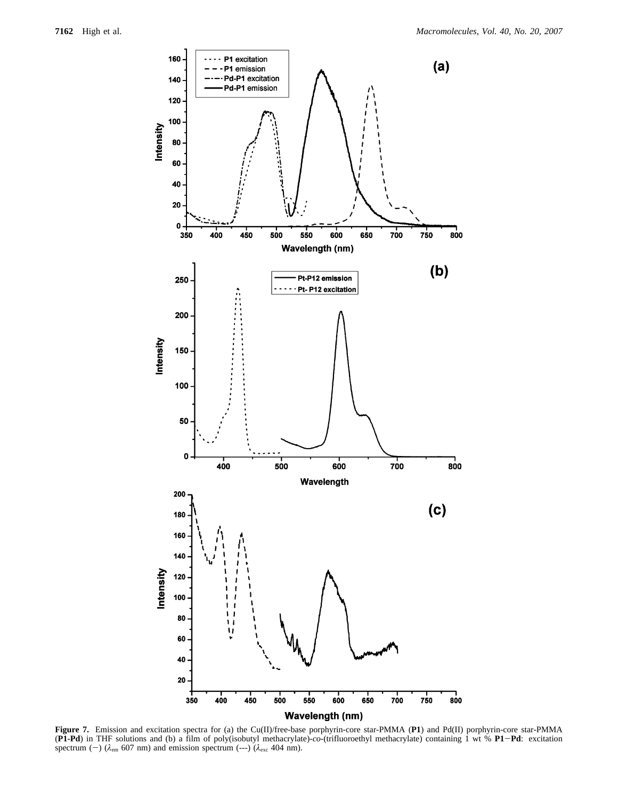

**Figure 7.** Emission and excitation spectra for (a) the Cu(II)/free-base porphyrin-core star-PMMA (**P1**) and Pd(II) porphyrin-core star-PMMA (**P1-Pd**) in THF solutions and (b) a film of poly(isobutyl methacrylate)-*co*-(trifluoroethyl methacrylate) containing 1 wt % **P1**-**Pd**: excitation spectrum (--) ( $\lambda_{\text{em}}$  607 nm) and emission spectrum (---) ( $\lambda_{\text{exc}}$  404 nm).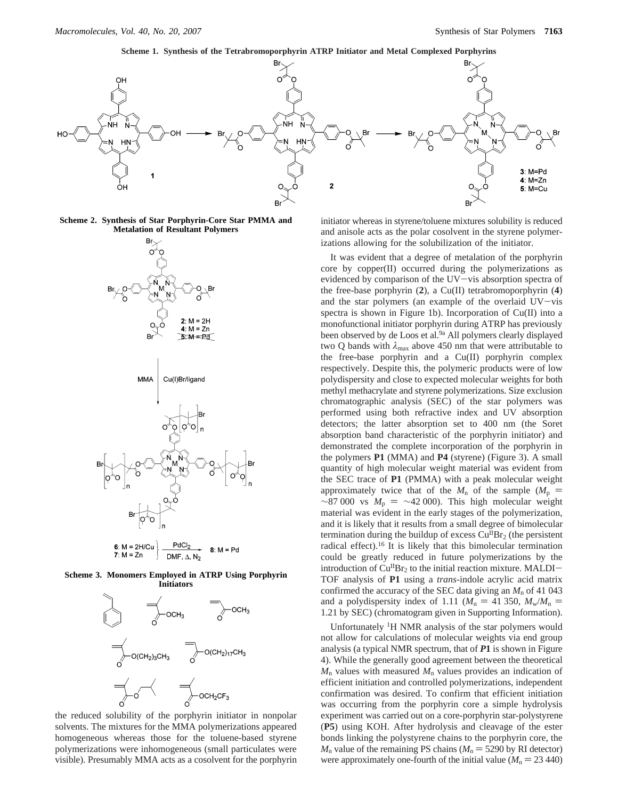**Scheme 1. Synthesis of the Tetrabromoporphyrin ATRP Initiator and Metal Complexed Porphyrins**



**Scheme 2. Synthesis of Star Porphyrin-Core Star PMMA and Metalation of Resultant Polymers**



 $8: M = Pd$  $7: M = Zn$ DMF,  $\Delta$ , N<sub>2</sub>

**Scheme 3. Monomers Employed in ATRP Using Porphyrin Initiators**



the reduced solubility of the porphyrin initiator in nonpolar solvents. The mixtures for the MMA polymerizations appeared homogeneous whereas those for the toluene-based styrene polymerizations were inhomogeneous (small particulates were visible). Presumably MMA acts as a cosolvent for the porphyrin

initiator whereas in styrene/toluene mixtures solubility is reduced and anisole acts as the polar cosolvent in the styrene polymerizations allowing for the solubilization of the initiator.

It was evident that a degree of metalation of the porphyrin core by copper(II) occurred during the polymerizations as evidenced by comparison of the UV-vis absorption spectra of the free-base porphyrin (**2**), a Cu(II) tetrabromoporphyrin (**4**) and the star polymers (an example of the overlaid  $UV - vis$ spectra is shown in Figure 1b). Incorporation of Cu(II) into a monofunctional initiator porphyrin during ATRP has previously been observed by de Loos et al.<sup>9a</sup> All polymers clearly displayed two Q bands with  $\lambda_{\text{max}}$  above 450 nm that were attributable to the free-base porphyrin and a Cu(II) porphyrin complex respectively. Despite this, the polymeric products were of low polydispersity and close to expected molecular weights for both methyl methacrylate and styrene polymerizations. Size exclusion chromatographic analysis (SEC) of the star polymers was performed using both refractive index and UV absorption detectors; the latter absorption set to 400 nm (the Soret absorption band characteristic of the porphyrin initiator) and demonstrated the complete incorporation of the porphyrin in the polymers **P1** (MMA) and **P4** (styrene) (Figure 3). A small quantity of high molecular weight material was evident from the SEC trace of **P1** (PMMA) with a peak molecular weight approximately twice that of the  $M_n$  of the sample ( $M_p$  =  $\sim$ 87 000 vs  $M_p = \sim$ 42 000). This high molecular weight material was evident in the early stages of the polymerization, and it is likely that it results from a small degree of bimolecular termination during the buildup of excess Cu<sup>II</sup>Br<sub>2</sub> (the persistent radical effect).16 It is likely that this bimolecular termination could be greatly reduced in future polymerizations by the introduction of  $Cu^{II}Br_2$  to the initial reaction mixture. MALDI-TOF analysis of **P1** using a *trans*-indole acrylic acid matrix confirmed the accuracy of the SEC data giving an  $M_n$  of 41 043 and a polydispersity index of 1.11 ( $M_n = 41$  350,  $M_w/M_n =$ 1.21 by SEC) (chromatogram given in Supporting Information).

Unfortunately 1H NMR analysis of the star polymers would not allow for calculations of molecular weights via end group analysis (a typical NMR spectrum, that of *P***1** is shown in Figure 4). While the generally good agreement between the theoretical  $M_n$  values with measured  $M_n$  values provides an indication of efficient initiation and controlled polymerizations, independent confirmation was desired. To confirm that efficient initiation was occurring from the porphyrin core a simple hydrolysis experiment was carried out on a core-porphyrin star-polystyrene (**P5**) using KOH. After hydrolysis and cleavage of the ester bonds linking the polystyrene chains to the porphyrin core, the  $M_n$  value of the remaining PS chains ( $M_n = 5290$  by RI detector) were approximately one-fourth of the initial value ( $M_n = 23,440$ )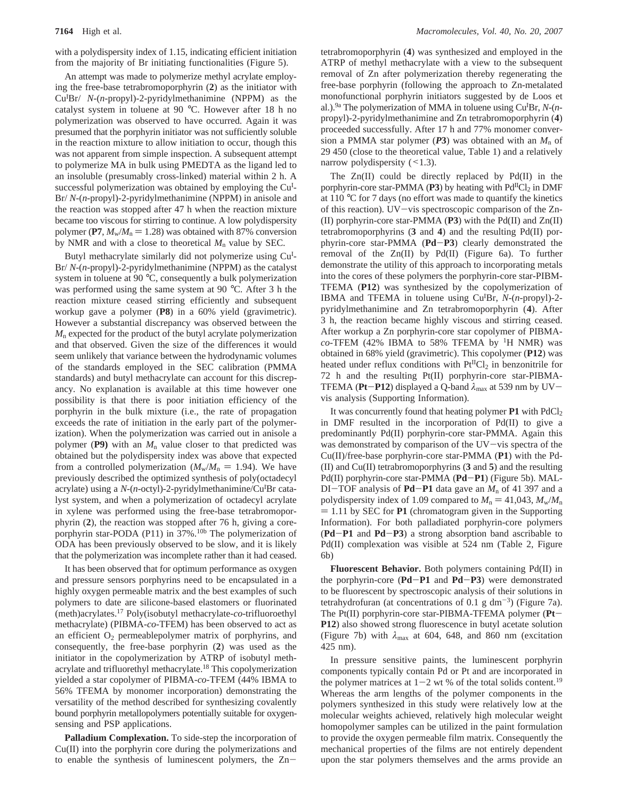with a polydispersity index of 1.15, indicating efficient initiation from the majority of Br initiating functionalities (Figure 5).

An attempt was made to polymerize methyl acrylate employing the free-base tetrabromoporphyrin (**2**) as the initiator with Cu<sup>I</sup>Br/ *N*-(*n*-propyl)-2-pyridylmethanimine (NPPM) as the catalyst system in toluene at 90 °C. However after 18 h no polymerization was observed to have occurred. Again it was presumed that the porphyrin initiator was not sufficiently soluble in the reaction mixture to allow initiation to occur, though this was not apparent from simple inspection. A subsequent attempt to polymerize MA in bulk using PMEDTA as the ligand led to an insoluble (presumably cross-linked) material within 2 h. A successful polymerization was obtained by employing the Cu<sup>I</sup>-Br/ *N*-(*n*-propyl)-2-pyridylmethanimine (NPPM) in anisole and the reaction was stopped after 47 h when the reaction mixture became too viscous for stirring to continue. A low polydispersity polymer (P7,  $M_w/M_p = 1.28$ ) was obtained with 87% conversion by NMR and with a close to theoretical  $M_n$  value by SEC.

Butyl methacrylate similarly did not polymerize using Cu<sup>I</sup>-Br/ *N*-(*n*-propyl)-2-pyridylmethanimine (NPPM) as the catalyst system in toluene at 90 °C, consequently a bulk polymerization was performed using the same system at 90 °C. After 3 h the reaction mixture ceased stirring efficiently and subsequent workup gave a polymer (**P8**) in a 60% yield (gravimetric). However a substantial discrepancy was observed between the *M*<sup>n</sup> expected for the product of the butyl acrylate polymerization and that observed. Given the size of the differences it would seem unlikely that variance between the hydrodynamic volumes of the standards employed in the SEC calibration (PMMA standards) and butyl methacrylate can account for this discrepancy. No explanation is available at this time however one possibility is that there is poor initiation efficiency of the porphyrin in the bulk mixture (i.e., the rate of propagation exceeds the rate of initiation in the early part of the polymerization). When the polymerization was carried out in anisole a polymer ( $P$ 9) with an  $M<sub>n</sub>$  value closer to that predicted was obtained but the polydispersity index was above that expected from a controlled polymerization ( $M_w/M_n = 1.94$ ). We have previously described the optimized synthesis of poly(octadecyl acrylate) using a N-(n-octyl)-2-pyridylmethanimine/Cu<sup>I</sup>Br catalyst system, and when a polymerization of octadecyl acrylate in xylene was performed using the free-base tetrabromoporphyrin (**2**), the reaction was stopped after 76 h, giving a coreporphyrin star-PODA (P11) in 37%.<sup>10b</sup> The polymerization of ODA has been previously observed to be slow, and it is likely that the polymerization was incomplete rather than it had ceased.

It has been observed that for optimum performance as oxygen and pressure sensors porphyrins need to be encapsulated in a highly oxygen permeable matrix and the best examples of such polymers to date are silicone-based elastomers or fluorinated (meth)acrylates.17 Poly(isobutyl methacrylate-*co*-trifluoroethyl methacrylate) (PIBMA-*co*-TFEM) has been observed to act as an efficient  $O<sub>2</sub>$  permeablepolymer matrix of porphyrins, and consequently, the free-base porphyrin (**2**) was used as the initiator in the copolymerization by ATRP of isobutyl methacrylate and trifluorethyl methacrylate.18 This copolymerization yielded a star copolymer of PIBMA-*co*-TFEM (44% IBMA to 56% TFEMA by monomer incorporation) demonstrating the versatility of the method described for synthesizing covalently bound porphyrin metallopolymers potentially suitable for oxygensensing and PSP applications.

**Palladium Complexation.** To side-step the incorporation of Cu(II) into the porphyrin core during the polymerizations and to enable the synthesis of luminescent polymers, the Zntetrabromoporphyrin (**4**) was synthesized and employed in the ATRP of methyl methacrylate with a view to the subsequent removal of Zn after polymerization thereby regenerating the free-base porphyrin (following the approach to Zn-metalated monofunctional porphyrin initiators suggested by de Loos et al.).9a The polymerization of MMA in toluene using CuI Br, *N*-(*n*propyl)-2-pyridylmethanimine and Zn tetrabromoporphyrin (**4**) proceeded successfully. After 17 h and 77% monomer conversion a PMMA star polymer ( $P$ **3**) was obtained with an  $M_n$  of 29 450 (close to the theoretical value, Table 1) and a relatively narrow polydispersity  $(\leq 1.3)$ .

The  $Zn(II)$  could be directly replaced by  $Pd(II)$  in the porphyrin-core star-PMMA ( $P3$ ) by heating with  $Pd<sup>H</sup>Cl<sub>2</sub>$  in DMF at 110 °C for 7 days (no effort was made to quantify the kinetics of this reaction). UV-vis spectroscopic comparison of the Zn- (II) porphyrin-core star-PMMA (**P3**) with the Pd(II) and Zn(II) tetrabromoporphyrins (**3** and **4**) and the resulting Pd(II) porphyrin-core star-PMMA (**Pd**-**P3**) clearly demonstrated the removal of the Zn(II) by Pd(II) (Figure 6a). To further demonstrate the utility of this approach to incorporating metals into the cores of these polymers the porphyrin-core star-PIBM-TFEMA (**P12**) was synthesized by the copolymerization of IBMA and TFEMA in toluene using Cu<sup>I</sup>Br, *N*-(*n*-propyl)-2pyridylmethanimine and Zn tetrabromoporphyrin (**4**). After 3 h, the reaction became highly viscous and stirring ceased. After workup a Zn porphyrin-core star copolymer of PIBMA $co$ -TFEM (42% IBMA to 58% TFEMA by <sup>1</sup>H NMR) was obtained in 68% yield (gravimetric). This copolymer (**P12**) was heated under reflux conditions with  $Pt^{II}Cl_2$  in benzonitrile for 72 h and the resulting Pt(II) porphyrin-core star-PIBMA-TFEMA (**Pt**-**P12**) displayed a Q-band *<sup>λ</sup>*max at 539 nm by UVvis analysis (Supporting Information).

It was concurrently found that heating polymer **P1** with PdCl<sub>2</sub> in DMF resulted in the incorporation of Pd(II) to give a predominantly Pd(II) porphyrin-core star-PMMA. Again this was demonstrated by comparison of the  $UV$ -vis spectra of the Cu(II)/free-base porphyrin-core star-PMMA (**P1**) with the Pd- (II) and Cu(II) tetrabromoporphyrins (**3** and **5**) and the resulting Pd(II) porphyrin-core star-PMMA (**Pd**-**P1**) (Figure 5b). MAL-DI-TOF analysis of **Pd-P1** data gave an  $M_n$  of 41 397 and a polydispersity index of 1.09 compared to  $M_n = 41,043, M_w/M_n$  $= 1.11$  by SEC for **P1** (chromatogram given in the Supporting Information). For both palladiated porphyrin-core polymers (**Pd**-**P1** and **Pd**-**P3**) a strong absorption band ascribable to Pd(II) complexation was visible at 524 nm (Table 2, Figure 6b)

**Fluorescent Behavior.** Both polymers containing Pd(II) in the porphyrin-core (**Pd**-**P1** and **Pd**-**P3**) were demonstrated to be fluorescent by spectroscopic analysis of their solutions in tetrahydrofuran (at concentrations of 0.1 g dm<sup>-3</sup>) (Figure 7a). The Pt(II) porphyrin-core star-PIBMA-TFEMA polymer (**Pt**-**P12**) also showed strong fluorescence in butyl acetate solution (Figure 7b) with *λ*max at 604, 648, and 860 nm (excitation 425 nm).

In pressure sensitive paints, the luminescent porphyrin components typically contain Pd or Pt and are incorporated in the polymer matrices at  $1-2$  wt % of the total solids content.<sup>19</sup> Whereas the arm lengths of the polymer components in the polymers synthesized in this study were relatively low at the molecular weights achieved, relatively high molecular weight homopolymer samples can be utilized in the paint formulation to provide the oxygen permeable film matrix. Consequently the mechanical properties of the films are not entirely dependent upon the star polymers themselves and the arms provide an